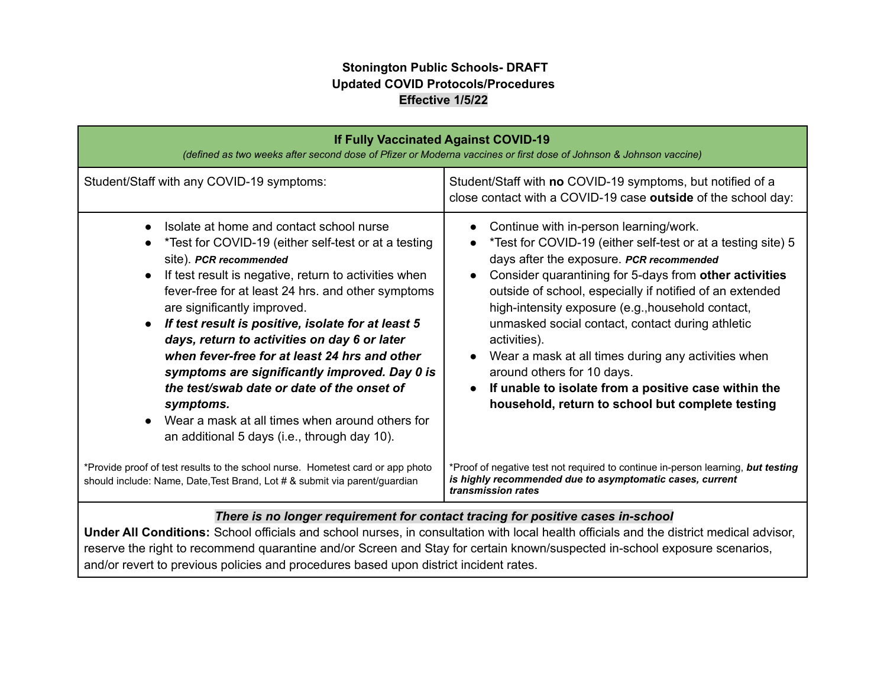## **Stonington Public Schools- DRAFT Updated COVID Protocols/Procedures Effective 1/5/22**

| <b>If Fully Vaccinated Against COVID-19</b><br>(defined as two weeks after second dose of Pfizer or Moderna vaccines or first dose of Johnson & Johnson vaccine)                                                                                                                                                                                                                                                                                                                                                                                                                                                                                                         |                                                                                                                                                                                                                                                                                                                                                                                                                                                                                                                                                                                                                                           |  |
|--------------------------------------------------------------------------------------------------------------------------------------------------------------------------------------------------------------------------------------------------------------------------------------------------------------------------------------------------------------------------------------------------------------------------------------------------------------------------------------------------------------------------------------------------------------------------------------------------------------------------------------------------------------------------|-------------------------------------------------------------------------------------------------------------------------------------------------------------------------------------------------------------------------------------------------------------------------------------------------------------------------------------------------------------------------------------------------------------------------------------------------------------------------------------------------------------------------------------------------------------------------------------------------------------------------------------------|--|
| Student/Staff with any COVID-19 symptoms:                                                                                                                                                                                                                                                                                                                                                                                                                                                                                                                                                                                                                                | Student/Staff with no COVID-19 symptoms, but notified of a<br>close contact with a COVID-19 case outside of the school day:                                                                                                                                                                                                                                                                                                                                                                                                                                                                                                               |  |
| Isolate at home and contact school nurse<br>$\bullet$<br>*Test for COVID-19 (either self-test or at a testing<br>site). PCR recommended<br>If test result is negative, return to activities when<br>fever-free for at least 24 hrs. and other symptoms<br>are significantly improved.<br>If test result is positive, isolate for at least 5<br>$\bullet$<br>days, return to activities on day 6 or later<br>when fever-free for at least 24 hrs and other<br>symptoms are significantly improved. Day 0 is<br>the test/swab date or date of the onset of<br>symptoms.<br>Wear a mask at all times when around others for<br>an additional 5 days (i.e., through day 10). | Continue with in-person learning/work.<br>*Test for COVID-19 (either self-test or at a testing site) 5<br>days after the exposure. PCR recommended<br>Consider quarantining for 5-days from other activities<br>$\bullet$<br>outside of school, especially if notified of an extended<br>high-intensity exposure (e.g., household contact,<br>unmasked social contact, contact during athletic<br>activities).<br>Wear a mask at all times during any activities when<br>$\bullet$<br>around others for 10 days.<br>If unable to isolate from a positive case within the<br>$\bullet$<br>household, return to school but complete testing |  |
| *Provide proof of test results to the school nurse. Hometest card or app photo<br>should include: Name, Date, Test Brand, Lot # & submit via parent/guardian                                                                                                                                                                                                                                                                                                                                                                                                                                                                                                             | *Proof of negative test not required to continue in-person learning, <b>but testing</b><br>is highly recommended due to asymptomatic cases, current<br>transmission rates                                                                                                                                                                                                                                                                                                                                                                                                                                                                 |  |
| There is no longer requirement for contact tracing for positive cases in-school<br>Under All Conditions: School officials and school nurses, in consultation with local health officials and the district medical advisor,                                                                                                                                                                                                                                                                                                                                                                                                                                               |                                                                                                                                                                                                                                                                                                                                                                                                                                                                                                                                                                                                                                           |  |

reserve the right to recommend quarantine and/or Screen and Stay for certain known/suspected in-school exposure scenarios, and/or revert to previous policies and procedures based upon district incident rates.